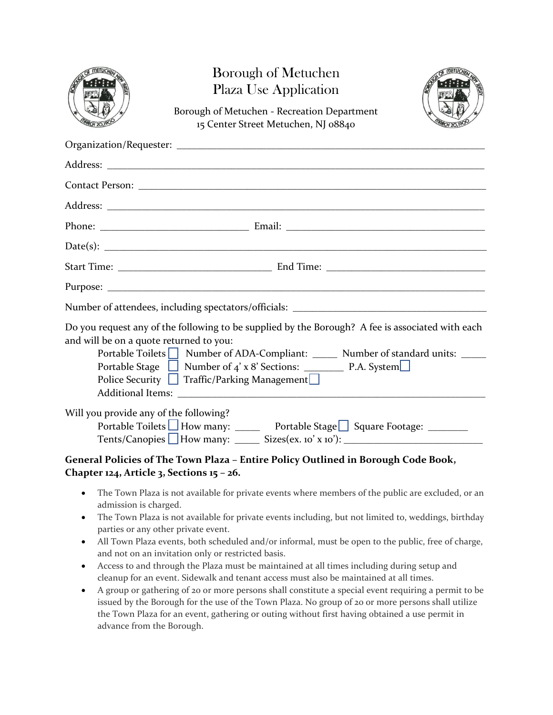|                                         | <b>Borough of Metuchen</b><br><b>Plaza Use Application</b><br>Borough of Metuchen - Recreation Department<br>15 Center Street Metuchen, NJ 08840                                                                                       |  |
|-----------------------------------------|----------------------------------------------------------------------------------------------------------------------------------------------------------------------------------------------------------------------------------------|--|
|                                         |                                                                                                                                                                                                                                        |  |
|                                         |                                                                                                                                                                                                                                        |  |
|                                         |                                                                                                                                                                                                                                        |  |
|                                         |                                                                                                                                                                                                                                        |  |
|                                         |                                                                                                                                                                                                                                        |  |
|                                         |                                                                                                                                                                                                                                        |  |
|                                         |                                                                                                                                                                                                                                        |  |
|                                         |                                                                                                                                                                                                                                        |  |
|                                         | Number of attendees, including spectators/officials: ____________________________                                                                                                                                                      |  |
| and will be on a quote returned to you: | Do you request any of the following to be supplied by the Borough? A fee is associated with each<br>Portable Toilets   Number of ADA-Compliant: ______ Number of standard units: _____<br>Police Security   Traffic/Parking Management |  |
| Will you provide any of the following?  | Portable Toilets How many: ______ Portable Stage Square Footage: ________<br>Tents/Canopies $\Box$ How many: $\Box$ Sizes(ex. 10' x 10'): $\Box$<br>General Policies of The Town Plaza - Entire Policy Outlined in Borough Code Book,  |  |
|                                         |                                                                                                                                                                                                                                        |  |

### **Chapter 124, Article 3, Sections 15 – 26.**

- The Town Plaza is not available for private events where members of the public are excluded, or an admission is charged.
- The Town Plaza is not available for private events including, but not limited to, weddings, birthday parties or any other private event.
- All Town Plaza events, both scheduled and/or informal, must be open to the public, free of charge, and not on an invitation only or restricted basis.
- Access to and through the Plaza must be maintained at all times including during setup and cleanup for an event. Sidewalk and tenant access must also be maintained at all times.
- A group or gathering of 20 or more persons shall constitute a special event requiring a permit to be issued by the Borough for the use of the Town Plaza. No group of 20 or more persons shall utilize the Town Plaza for an event, gathering or outing without first having obtained a use permit in advance from the Borough.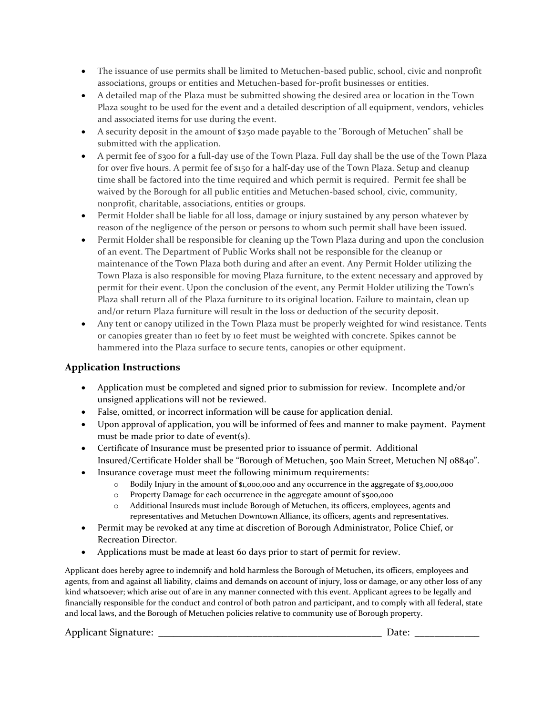- The issuance of use permits shall be limited to Metuchen-based public, school, civic and nonprofit associations, groups or entities and Metuchen-based for-profit businesses or entities.
- A detailed map of the Plaza must be submitted showing the desired area or location in the Town Plaza sought to be used for the event and a detailed description of all equipment, vendors, vehicles and associated items for use during the event.
- A security deposit in the amount of \$250 made payable to the "Borough of Metuchen" shall be submitted with the application.
- A permit fee of \$300 for a full-day use of the Town Plaza. Full day shall be the use of the Town Plaza for over five hours. A permit fee of \$150 for a half-day use of the Town Plaza. Setup and cleanup time shall be factored into the time required and which permit is required. Permit fee shall be waived by the Borough for all public entities and Metuchen-based school, civic, community, nonprofit, charitable, associations, entities or groups.
- Permit Holder shall be liable for all loss, damage or injury sustained by any person whatever by reason of the negligence of the person or persons to whom such permit shall have been issued.
- Permit Holder shall be responsible for cleaning up the Town Plaza during and upon the conclusion of an event. The Department of Public Works shall not be responsible for the cleanup or maintenance of the Town Plaza both during and after an event. Any Permit Holder utilizing the Town Plaza is also responsible for moving Plaza furniture, to the extent necessary and approved by permit for their event. Upon the conclusion of the event, any Permit Holder utilizing the Town's Plaza shall return all of the Plaza furniture to its original location. Failure to maintain, clean up and/or return Plaza furniture will result in the loss or deduction of the security deposit.
- Any tent or canopy utilized in the Town Plaza must be properly weighted for wind resistance. Tents or canopies greater than 10 feet by 10 feet must be weighted with concrete. Spikes cannot be hammered into the Plaza surface to secure tents, canopies or other equipment.

### **Application Instructions**

- Application must be completed and signed prior to submission for review. Incomplete and/or unsigned applications will not be reviewed.
- False, omitted, or incorrect information will be cause for application denial.
- Upon approval of application, you will be informed of fees and manner to make payment. Payment must be made prior to date of event(s).
- Certificate of Insurance must be presented prior to issuance of permit. Additional Insured/Certificate Holder shall be "Borough of Metuchen, 500 Main Street, Metuchen NJ 08840".
- Insurance coverage must meet the following minimum requirements:
	- o Bodily Injury in the amount of \$1,000,000 and any occurrence in the aggregate of \$3,000,000
	- o Property Damage for each occurrence in the aggregate amount of \$500,000
	- o Additional Insureds must include Borough of Metuchen, its officers, employees, agents and representatives and Metuchen Downtown Alliance, its officers, agents and representatives.
- Permit may be revoked at any time at discretion of Borough Administrator, Police Chief, or Recreation Director.
- Applications must be made at least 60 days prior to start of permit for review.

Applicant does hereby agree to indemnify and hold harmless the Borough of Metuchen, its officers, employees and agents, from and against all liability, claims and demands on account of injury, loss or damage, or any other loss of any kind whatsoever; which arise out of are in any manner connected with this event. Applicant agrees to be legally and financially responsible for the conduct and control of both patron and participant, and to comply with all federal, state and local laws, and the Borough of Metuchen policies relative to community use of Borough property.

#### Applicant Signature: \_\_\_\_\_\_\_\_\_\_\_\_\_\_\_\_\_\_\_\_\_\_\_\_\_\_\_\_\_\_\_\_\_\_\_\_\_\_\_\_\_\_\_\_\_ Date: \_\_\_\_\_\_\_\_\_\_\_\_\_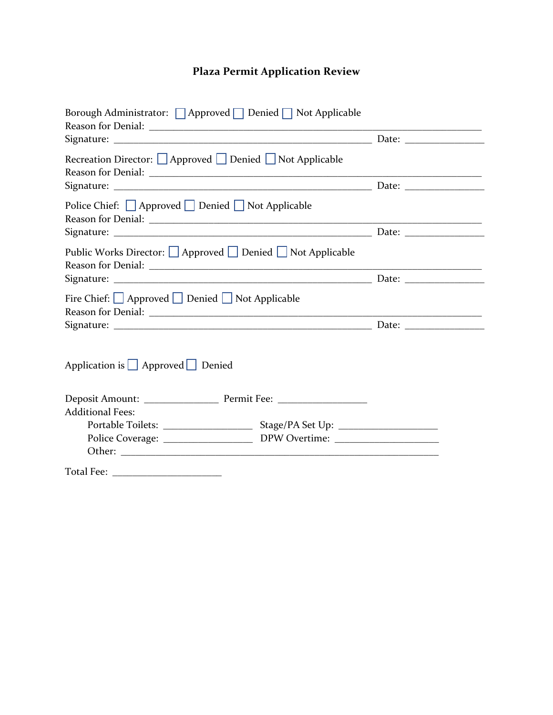## **Plaza Permit Application Review**

| Borough Administrator: $\Box$ Approved $\Box$ Denied $\Box$ Not Applicable |  |
|----------------------------------------------------------------------------|--|
|                                                                            |  |
| Recreation Director: △ Approved △ Denied △ Not Applicable                  |  |
|                                                                            |  |
| Police Chief: □ Approved □ Denied □ Not Applicable                         |  |
|                                                                            |  |
| Public Works Director:   Approved   Denied   Not Applicable                |  |
|                                                                            |  |
| Fire Chief: $\Box$ Approved $\Box$ Denied $\Box$ Not Applicable            |  |
|                                                                            |  |
| Application is $\Box$ Approved $\Box$ Denied                               |  |
|                                                                            |  |
| <b>Additional Fees:</b>                                                    |  |
|                                                                            |  |
|                                                                            |  |
|                                                                            |  |